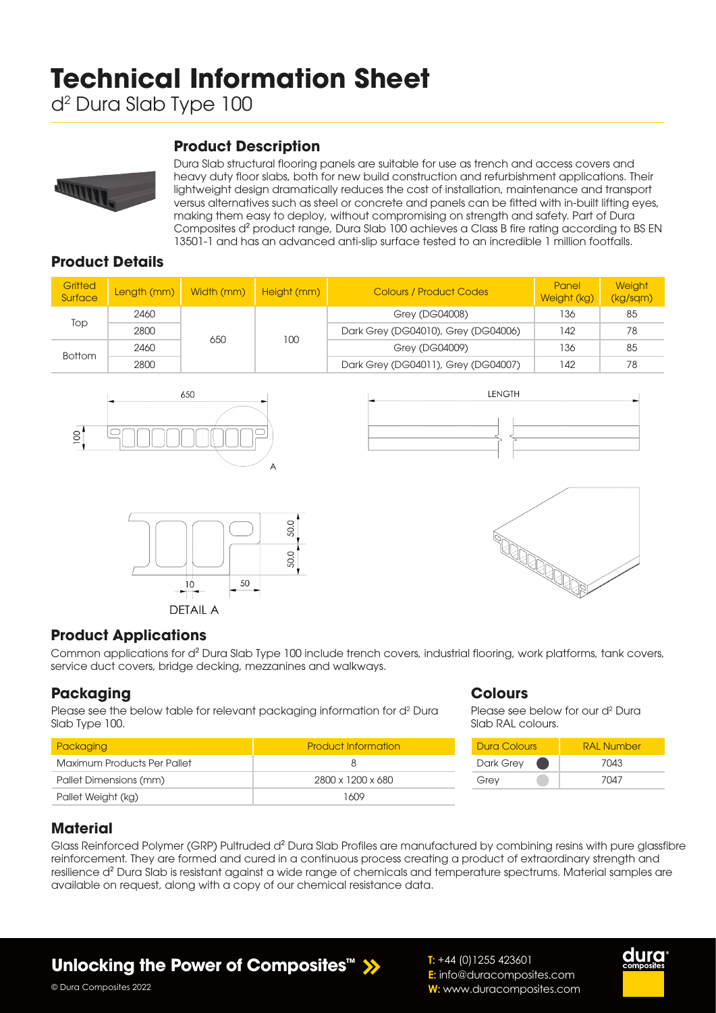# **Technical Information Sheet**

d2 Dura Slab Type 100

# **Product Description**



Dura Slab structural flooring panels are suitable for use as trench and access covers and heavy duty floor slabs, both for new build construction and refurbishment applications. Their lightweight design dramatically reduces the cost of installation, maintenance and transport versus alternatives such as steel or concrete and panels can be fitted with in-built lifting eyes, making them easy to deploy, without compromising on strength and safety. Part of Dura Composites d² product range, Dura Slab 100 achieves a Class B fire rating according to BS EN 13501-1 and has an advanced anti-slip surface tested to an incredible 1 million footfalls.

## **Product Details**

| Gritted<br>Surface | Length (mm) | Width (mm) | Height (mm) | <b>Colours / Product Codes</b>      | Panel<br>Weight (kg) | <b>Weight</b><br>(kg/sqm) |
|--------------------|-------------|------------|-------------|-------------------------------------|----------------------|---------------------------|
| Top                | 2460        | 650        | 100         | Grey (DG04008)                      | 136                  | 85                        |
|                    | 2800        |            |             | Dark Grey (DG04010), Grey (DG04006) | 142                  | 78                        |
| <b>Bottom</b>      | 2460        |            |             | Grey (DG04009)                      | 136                  | 85                        |
|                    | 2800        |            |             | Dark Grey (DG04011), Grey (DG04007) | 142                  | 78                        |









### **Product Applications**

Common applications for d² Dura Slab Type 100 include trench covers, industrial flooring, work platforms, tank covers, service duct covers, bridge decking, mezzanines and walkways.

### **Packaging**

Please see the below table for relevant packaging information for d<sup>2</sup> Dura Slab Type 100.

| Packaging                   | <b>Product Information</b> |
|-----------------------------|----------------------------|
| Maximum Products Per Pallet | x                          |
| Pallet Dimensions (mm)      | 2800 x 1200 x 680          |
| Pallet Weight (kg)          | 1609                       |

#### **Colours**

**T:** +44 (0)1255 423601

**E:** info@duracomposites.com **W:** www.duracomposites.com

Please see below for our d<sup>2</sup> Dura Slab RAL colours.

| Dura Colours | RAI Number |  |  |
|--------------|------------|--|--|
| Dark Grey    | 7043       |  |  |
| Grey         | 7047       |  |  |

### **Material**

© Dura Composites 2022

Glass Reinforced Polymer (GRP) Pultruded d<sup>2</sup> Dura Slab Profiles are manufactured by combining resins with pure glassfibre reinforcement. They are formed and cured in a continuous process creating a product of extraordinary strength and resilience d² Dura Slab is resistant against a wide range of chemicals and temperature spectrums. Material samples are available on request, along with a copy of our chemical resistance data.

**Unlocking the Power of Composites<sup>™</sup> >>**